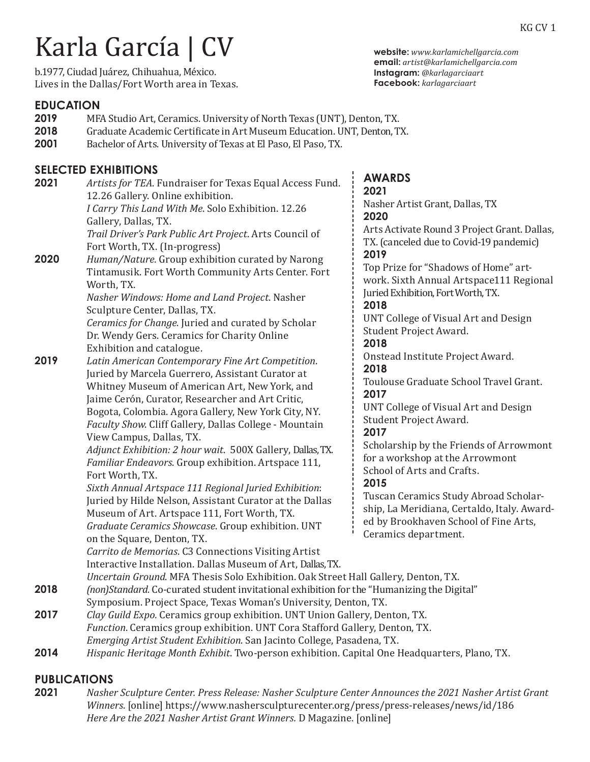# Karla García | CV

b.1977, Ciudad Juárez, Chihuahua, México. Lives in the Dallas/Fort Worth area in Texas.

### **EDUCATION**

- **2019** MFA Studio Art, Ceramics. University of North Texas (UNT), Denton, TX.<br>**2018** Graduate Academic Certificate in Art Museum Education. UNT. Denton. T.
- **2018** Graduate Academic Certificate in Art Museum Education. UNT, Denton, TX.<br>**2001** Bachelor of Arts. University of Texas at El Paso, El Paso, TX.
- Bachelor of Arts. University of Texas at El Paso, El Paso, TX.

## **SELECTED EXHIBITIONS**

**2021** *Artists for TEA*. Fundraiser for Texas Equal Access Fund. 12.26 Gallery. Online exhibition. *I Carry This Land With Me*. Solo Exhibition. 12.26 Gallery, Dallas, TX. *Trail Driver's Park Public Art Project*. Arts Council of Fort Worth, TX. (In-progress) **2020** *Human/Nature.* Group exhibition curated by Narong Tintamusik. Fort Worth Community Arts Center. Fort Worth, TX. *Nasher Windows: Home and Land Project*. Nasher Sculpture Center, Dallas, TX. *Ceramics for Change*. Juried and curated by Scholar Dr. Wendy Gers. Ceramics for Charity Online Exhibition and catalogue.<br>**2019** Latin American Contempor **2019** *Latin American Contemporary Fine Art Competition*. Juried by Marcela Guerrero, Assistant Curator at Whitney Museum of American Art, New York, and Jaime Cerón, Curator, Researcher and Art Critic, Bogota, Colombia. Agora Gallery, New York City, NY. *Faculty Show*. Cliff Gallery, Dallas College - Mountain View Campus, Dallas, TX. *Adjunct Exhibition: 2 hour wait*. 500X Gallery, Dallas, TX. *Familiar Endeavors*. Group exhibition. Artspace 111, Fort Worth, TX. *Sixth Annual Artspace 111 Regional Juried Exhibition*: Juried by Hilde Nelson, Assistant Curator at the Dallas Museum of Art. Artspace 111, Fort Worth, TX. *Graduate Ceramics Showcase*. Group exhibition. UNT on the Square, Denton, TX. *Carrito de Memorias*. C3 Connections Visiting Artist

**AWARDS**

**2021** Nasher Artist Grant, Dallas, TX **2020** Arts Activate Round 3 Project Grant. Dallas, TX. (canceled due to Covid-19 pandemic) **2019** Top Prize for "Shadows of Home" artwork. Sixth Annual Artspace111 Regional Juried Exhibition, Fort Worth, TX. **2018** UNT College of Visual Art and Design Student Project Award. **2018** Onstead Institute Project Award. **2018** Toulouse Graduate School Travel Grant. **2017** UNT College of Visual Art and Design Student Project Award. **2017** Scholarship by the Friends of Arrowmont for a workshop at the Arrowmont School of Arts and Crafts. **2015** Tuscan Ceramics Study Abroad Scholarship, La Meridiana, Certaldo, Italy. Awarded by Brookhaven School of Fine Arts, Ceramics department.

- *Uncertain Ground*. MFA Thesis Solo Exhibition. Oak Street Hall Gallery, Denton, TX. **2018** *(non)Standard.* Co-curated student invitational exhibition for the "Humanizing the Digital"
- Symposium. Project Space, Texas Woman's University, Denton, TX.<br>**2017** Clay Guild Expo. Ceramics group exhibition. UNT Union Gallery. Den **2017** *Clay Guild Expo.* Ceramics group exhibition. UNT Union Gallery, Denton, TX. *Function*. Ceramics group exhibition. UNT Cora Stafford Gallery, Denton, TX. *Emerging Artist Student Exhibition*. San Jacinto College, Pasadena, TX.

Interactive Installation. Dallas Museum of Art, Dallas, TX.

**2014** *Hispanic Heritage Month Exhibit*. Two-person exhibition. Capital One Headquarters, Plano, TX.

# **PUBLICATIONS**

**2021** *Nasher Sculpture Center. Press Release: Nasher Sculpture Center Announces the 2021 Nasher Artist Grant Winners*. [online] https://www.nashersculpturecenter.org/press/press-releases/news/id/186 *Here Are the 2021 Nasher Artist Grant Winners.* D Magazine. [online]

**website:** *www.karlamichellgarcia.com*  **email:** *artist@karlamichellgarcia.com*  **Instagram:** *@karlagarciaart* **Facebook:** *karlagarciaart*